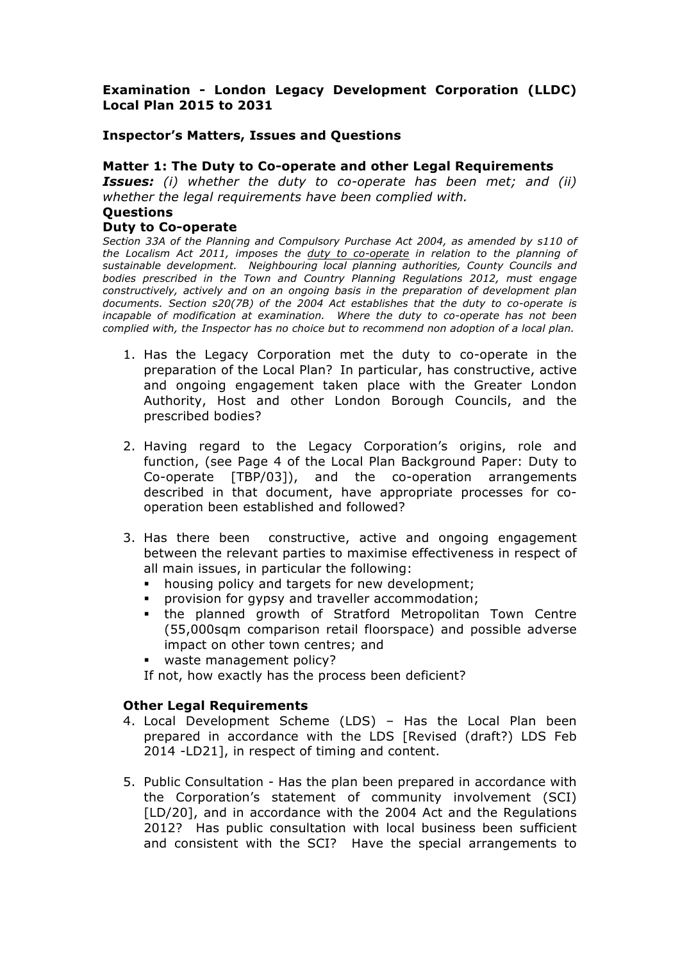# **Examination - London Legacy Development Corporation (LLDC) Local Plan 2015 to 2031**

## **Inspector's Matters, Issues and Questions**

## **Matter 1: The Duty to Co-operate and other Legal Requirements**

*Issues: (i) whether the duty to co-operate has been met; and (ii) whether the legal requirements have been complied with.*

#### **Questions**

### **Duty to Co-operate**

*Section 33A of the Planning and Compulsory Purchase Act 2004, as amended by s110 of the Localism Act 2011, imposes the duty to co-operate in relation to the planning of sustainable development. Neighbouring local planning authorities, County Councils and bodies prescribed in the Town and Country Planning Regulations 2012, must engage constructively, actively and on an ongoing basis in the preparation of development plan documents. Section s20(7B) of the 2004 Act establishes that the duty to co-operate is incapable of modification at examination. Where the duty to co-operate has not been complied with, the Inspector has no choice but to recommend non adoption of a local plan.* 

- 1. Has the Legacy Corporation met the duty to co-operate in the preparation of the Local Plan? In particular, has constructive, active and ongoing engagement taken place with the Greater London Authority, Host and other London Borough Councils, and the prescribed bodies?
- 2. Having regard to the Legacy Corporation's origins, role and function, (see Page 4 of the Local Plan Background Paper: Duty to Co-operate [TBP/03]), and the co-operation arrangements described in that document, have appropriate processes for cooperation been established and followed?
- 3. Has there been constructive, active and ongoing engagement between the relevant parties to maximise effectiveness in respect of all main issues, in particular the following:
	- housing policy and targets for new development;
	- **•** provision for gypsy and traveller accommodation;
	- § the planned growth of Stratford Metropolitan Town Centre (55,000sqm comparison retail floorspace) and possible adverse impact on other town centres; and
	- § waste management policy?
	- If not, how exactly has the process been deficient?

## **Other Legal Requirements**

- 4. Local Development Scheme (LDS) Has the Local Plan been prepared in accordance with the LDS [Revised (draft?) LDS Feb 2014 -LD21], in respect of timing and content.
- 5. Public Consultation Has the plan been prepared in accordance with the Corporation's statement of community involvement (SCI) [LD/20], and in accordance with the 2004 Act and the Regulations 2012? Has public consultation with local business been sufficient and consistent with the SCI? Have the special arrangements to